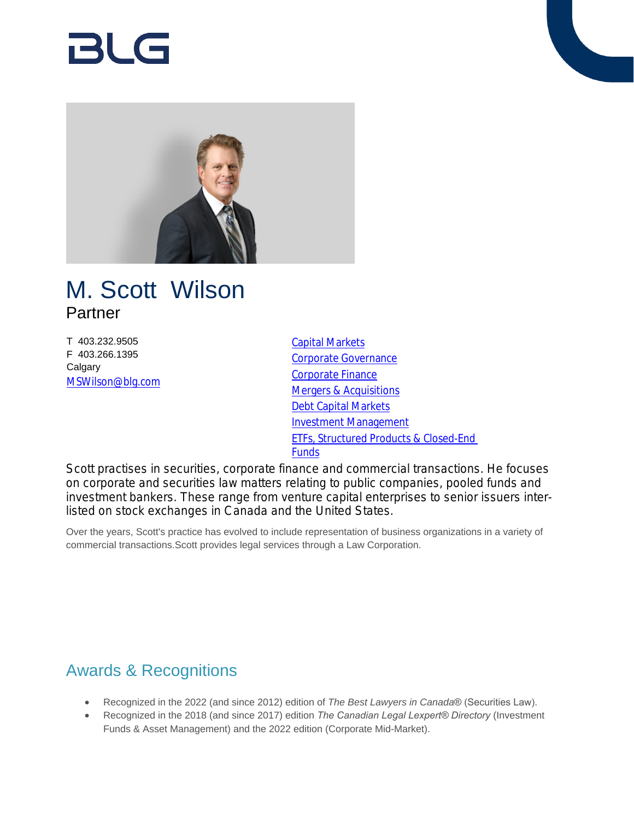# BlG



## M. Scott Wilson Partner

T 403.232.9505 F 403.266.1395 **Calgary** [MSWilson@blg.com](mailto:MSWilson@blg.com)

[Capital Markets](https://www.blg.com/en/services/practice-areas/capital-markets) [Corporate Governance](https://www.blg.com/en/services/practice-areas/corporate-commercial/corporate-governance) [Corporate Finance](https://www.blg.com/en/services/practice-areas/capital-markets/corporate-finance) [Mergers & Acquisitions](https://www.blg.com/en/services/practice-areas/mergers-,-a-,-acquisitions) [Debt Capital Markets](https://www.blg.com/en/services/practice-areas/capital-markets/debt-capital-markets) [Investment Management](https://www.blg.com/en/services/practice-areas/investment-management) [ETFs, Structured Products & Closed-End](https://www.blg.com/en/services/practice-areas/investment-management/etfs,-structured-products-,-a-,-closed-end-funds)  **[Funds](https://www.blg.com/en/services/practice-areas/investment-management/etfs,-structured-products-,-a-,-closed-end-funds)** 

Scott practises in securities, corporate finance and commercial transactions. He focuses on corporate and securities law matters relating to public companies, pooled funds and investment bankers. These range from venture capital enterprises to senior issuers interlisted on stock exchanges in Canada and the United States.

Over the years, Scott's practice has evolved to include representation of business organizations in a variety of commercial transactions.Scott provides legal services through a Law Corporation.

## Awards & Recognitions

- Recognized in the 2022 (and since 2012) edition of *The Best Lawyers in Canada*® (Securities Law).
- Recognized in the 2018 (and since 2017) edition *The Canadian Legal Lexpert® Directory* (Investment Funds & Asset Management) and the 2022 edition (Corporate Mid-Market).